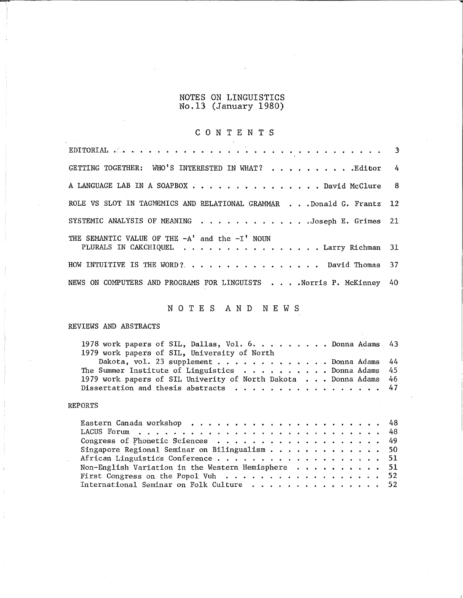## NOTES ON LINGUISTICS No.13 (January 1980)

# C 0 N T E N T S

| GETTING TOGETHER: WHO'S INTERESTED IN WHAT? Editor 4                                         |  |
|----------------------------------------------------------------------------------------------|--|
| A LANGUAGE LAB IN A SOAPBOX David McClure 8                                                  |  |
| ROLE VS SLOT IN TAGMEMICS AND RELATIONAL GRAMMAR Donald G. Frantz 12                         |  |
| SYSTEMIC ANALYSIS OF MEANING Joseph E. Grimes 21                                             |  |
| THE SEMANTIC VALUE OF THE $-A'$ and the $-I'$ NOUN<br>PLURALS IN CAKCHIQUEL Larry Richman 31 |  |
| HOW INTUITIVE IS THE WORD?David Thomas 37                                                    |  |
| NEWS ON COMPUTERS AND PROGRAMS FOR LINGUISTS Norris P. McKinney 40                           |  |

# N 0 T E S A N D N E W S

## REVIEWS AND ABSTRACTS

| 1978 work papers of SIL, Dallas, Vol. 6. Donna Adams $43$        |  |
|------------------------------------------------------------------|--|
| 1979 work papers of SIL, University of North                     |  |
| Dakota, vol. 23 supplement Donna Adams $44$                      |  |
| The Summer Institute of Linguistics $\ldots$ , Donna Adams 45    |  |
| 1979 work papers of SIL Univerity of North Dakota Donna Adams 46 |  |
| Dissertation and thesis abstracts 47                             |  |

### REPORTS

| Congress of Phonetic Sciences 49                                       |  |
|------------------------------------------------------------------------|--|
| Singapore Regional Seminar on Bilingualism 50                          |  |
|                                                                        |  |
| Non-English Variation in the Western Hemisphere $\dots \dots \dots$ 51 |  |
| First Congress on the Popol Vuh 52                                     |  |
| International Seminar on Folk Culture 52                               |  |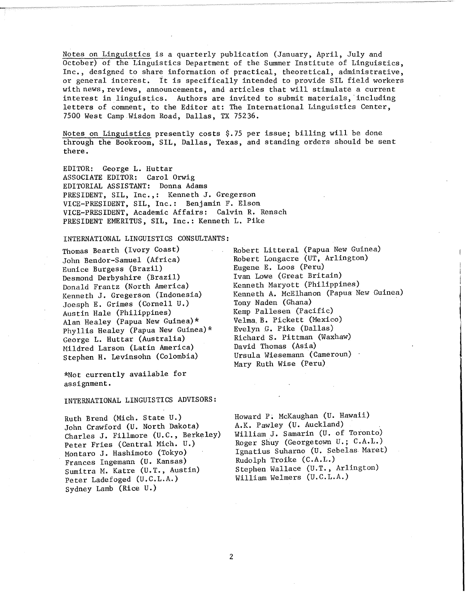Notes on Linguistics is a quarterly publication (January, April, July and October) of the Linguistics Department of the Summer Institute of Linguistics, Inc., designed to share information of practical, theoretical, administrative, or general interest. It is specifically intended to provide SIL field workers with news, reviews, announcements, and articles that will stimulate a current interest in linguistics. Authors are invited to submit materials, including letters of comment, to the Editor at: The International Linguistics Center, 7500 West Camp Wisdom Road, Dallas, TX 75236.

Notes on Linguistics presently costs \$.75 per issue; billing will be done through the Bookroom, SIL, Dallas, Texas, and standing orders should be sent there.

EDITOR: George L. Huttar ASSOCIATE EDITOR: Carol Orwig EDITORIAL ASSISTANT: Donna Adams PRESIDENT, SIL, Inc.,: Kenneth J. Gregerson VICE-PRESIDENT, SIL, Inc.: Benjamin F. Elson VICE-PRESIDENT, Academic Affairs: Calvin R. Rensch PRESIDENT EMERITUS, SIL, Inc.: Kenneth L. Pike

INTERNATIONAL LINGUISTICS CONSULTANTS:

Thomas Bearth (Ivory Coast) John Bendor-Samuel (Africa) Eunice Burgess (Brazil) Desmond Derbyshire (Brazil) Donald Frantz (North America) Kenneth J. Gregerson (Indonesia) Joesph E. Grimes (Cornell U.) Austin Hale (Philippines) Alan Healey (Papua New Guinea)\* Phyllis Healey (Papua New Guinea)\* George L. Huttar (Australia) Hildred Larson (Latin America) Stephen H. Levinsohn (Colombia)

\*Not currently available for assignment.

INTERNATIONAL LINGUISTICS ADVISORS:

Ruth Brend (Mich. State U.) John Crawford (U. North Dakota) Charles J. Fillmore (U.C., Berkeley) Peter Fries (Central Mich. U.) Montara J. Hashimoto (Tokyo) Frances Ingemann (U. Kansas) Sumitra M. Katre (U.T., Austin) Peter Ladefoged (U.C.L.A.) Sydney Lamb (Rice U.)

Robert Litteral (Papua New Guinea) Robert Longacre (UT, Arlington) Eugene E. Loos (Peru) Ivan Lowe (Great Britain) Kenneth Maryott (Philippines) Kenneth A. McElhanon (Papua New Guinea) Tony Naden (Ghana) Kemp Pallesen (Pacific) Velma.B. Pickett (Mexico) Evelyn B. Pike (Dallas) Richard S. Pittman (Waxhaw) David Thomas (Asia) Ursula Wiesemann (Cameroun) Mary Ruth Wise (Peru)

Howard P. McKaughan (U. Hawaii) A.K. Pawley (U. Auckland) William J. Samarin (U. of Toronto) Roger Shuy (Georgetown U.; C.A.L.) Ignatius Suharno (U. Sebelas Maret) Rudolph Troike (C.A.L.) Stephen Wallace (U.T., Arlington) William Welmers (U.C.L.A.)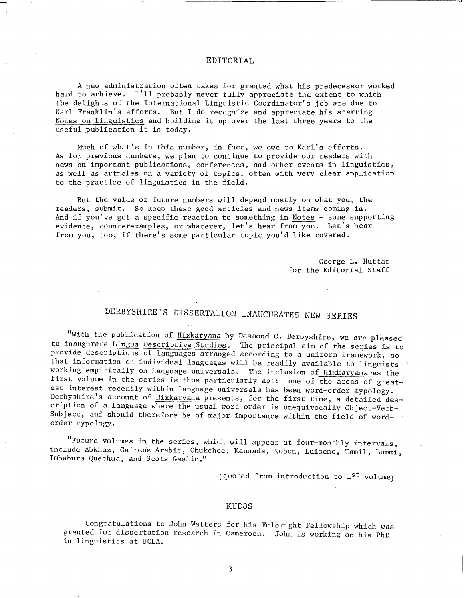### EDITORIAL

A new administration often takes for granted what his predecessor worked hard to achieve. I'll probably never fully appreciate the extent to which the delights of the International Linguistic Coordinator's job are due to Karl Franklin's efforts. But I do recognize and appreciate his starting Notes on Linguistics and building it up over the last three years to the useful publication it is today.

Much of what's in this number, in fact, we owe to Karl's efforts. As for previous numbers, we plan to continue to provide our readers with news on important publications, conferences, and other events in linguistics, as well as articles on a variety of topics, often with very clear application to the practice of linguistics in the field.

But the value of future numbers will depend mostly on what you, the readers, submit. So keep these good articles and news items coming in. And if you've got a specific reaction to something in Notes - some supporting evidence, counterexamples, or whatever, let's hear from you. Let's hear from you, too, if there's some particular topic you'd like covered.

> George L. Huttar for the Editorial Staff

# DERBYSHIRE'S DISSERTATION INAUGURATES NEW SERIES

"With the publication of Hixkaryana by Desmond C. Derbyshire, we are pleased, to inaugurate Lingua Descriptive.Studies. The principal aim of the series is to provide descriptions of languages arranged according to a uniform framework, so that information on individual languages will be readily available to linguists working empirically on language universals. The inclusion of Hixkaryana as the first volume in the series is thus particularly apt: one of the areas of greatest interest recently within language universals has been word-order typology. Derbyshire's account of Hixkaryana presents, for the first time, a detailed description of a language where the usual word order is unequivocally Object-Verb-Subject, and should therefore be of major importance within the field of wordorder typology.

"Future volumes in the series, which \vill appear at four-monthly intervals, include Abkhaz, Cairene Arabic, Chukchee, Kannada, Kobon, Luiseno, Tamil, Lummi, Imbabura Quechua, and Scots Gaelic."

(quoted from introduction to 1st volume)

#### KUDOS

Congratulations to John Watters for his Fulbright Fellowship which was granted for dissertation research in Cameroon. John is working on his PhD in linguistics at UCLA.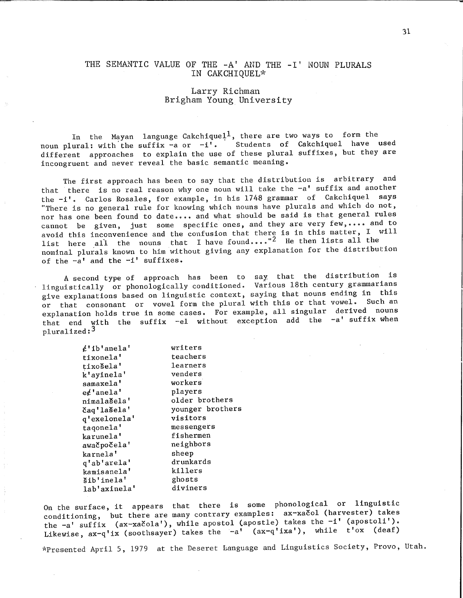### THE SEMANTIC VALUE OF THE -A' AND THE -I' NOUN PLURALS IN CAKCHIQUEL\*

### Larry Richman Brigham Young University

In the Mayan language-Cakchique $1^1,$  there are two ways to form the In the Mayan language Cakchique<sub>r</sub>, there are two ways to form the<br>noun plural: with the suffix -a or -i'. Students of Cakchiquel have used different approaches to explain the use of these plural suffixes, but they are incongruent and never reveal the basic semantic meaning.

The first approach has been to say that the distribution is arbitrary and that there is no real reason why one noun will take the -a' suffix and another the  $-i'$ . Carlos Rosales, for example, in his 1748 grammar of Cakchiquel says "There is no general rule for knowing which nouns have plurals and which do not, nor has one been found to date .... and what should be said is that general rules cannot be given, just some specific ones, and they are very few, •••• and to avoid this inconvenience and the confusion that there is in this matter, I will list here all the nouns that I have found  $\cdots$  He then lists all the nominal plurals known to him without giving any explanation for the distribution of the  $-a'$  and the  $-i'$  suffixes.

A second type of approach has been to say. that the distribution is linguistically or phonologically conditioned. Various 18th century grammarians give explanations based on linguistic context, saying that nouns ending in this or that consonant or vowel form the plural with this or that vowel. Such an explanation holds true in some cases. For example, all singular derived nouns that end with the suffix -el without exception add the -a' suffix when pluralized:3

| writers          |
|------------------|
| teachers         |
| learners         |
| venders          |
| workers          |
| players          |
| older brothers   |
| younger brothers |
| visitors         |
| messengers       |
| fishermen        |
| neighbors        |
| sheep            |
| drunkards        |
| killers          |
| ghosts           |
| diviners         |
|                  |

On the surface, it appears that there is some phonological or linguistic conditioning, but there are many contrary examples: ax-xacol (harvester) takes the -a' suffix (ax-xacola'), while apostol (apostle) takes the -i' (apostoli'). Likewise,  $ax-q'ix$  (soothsayer) takes the  $-a'$  ( $ax-q'ixa'$ ), while t'ox (deaf)

l'~Presented April 5, 1979 at the Deseret Language and Linguistics Society, Provo, Utah.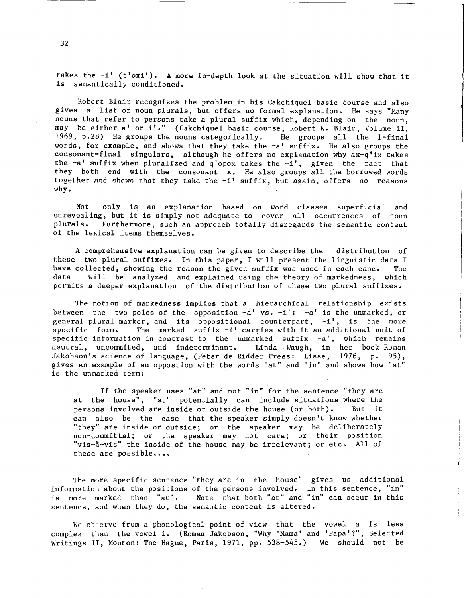takes the -i' (t'oxi'). A more in-depth look at the situation will show that it is semantically conditioned.

Robert Blair recognizes the problem in his Cakchiquel basic course and also gives a list of noun plurals, but offers no· formal explanation. He says "Many nouns that refer to persons take a plural suffix which, depending on the noun, may be either a' or i'." (Cakchiquel basic course, Robert w. Blair, Volume II, 1969, p.28) He groups the nouns categorically. He groups all the 1-final words, for example, and shows that they take the -a' suffix. He also groups the consonant-final singulars, although he offers no explanation why ax-q'ix takes the  $-a'$  suffix when pluralized and  $q'$ opox takes the  $-i'$ , given the fact that they both end with the consonant x. He also groups all the borrowed words they is the whole which the combinant is the also groups all the softback words the end shows that they take the  $-i'$  suffix, but again, offers no reasons why.

Not only is an explanation based on word classes superficial and unrevealing, but it is simply not adequate to cover all occurrences of noun plurals. Furthermore, such an approach totally disregards the semantic content of the lexical items themselves.

A comprehensive explanation can be given to describe the distribution of these two plural suffixes. In this paper, I will present the linguistic data I<br>have collected, showing the reason the given suffix was used in each case. The have collected, showing the reason the given suffix was used in each case.<br>data vill be analyzed and explained using the theory of markedness. will be analyzed and explained using the theory of markedness, which permits a deeper explanation of the distribution of these two plural suffixes.

The notion of markedness implies that a hierarchical relationship exists between the two poles of the opposition  $-a'$  vs.  $-i'$ :  $-a'$  is the unmarked, or general plural marker, and its oppositional counterpart,  $-i'$ , is the more specific form. The marked suffix  $-i'$  carries with it an additional unit of The marked suffix  $-i'$  carries with it an additional unit of specific information in contrast to the unmarked suffix  $-a'$ , which remains neutral, uncommited, and indeterminant. Linda Waugh, in her book Roman neutral, uncommited, and indeterminant. Jakobson's science of language, (Peter de Ridder Press: Lisse, 1976, p. 95), gives an example of an oppostion with the words "at" and "in" and shows how "at" is the unmarked term:

If the speaker uses "at" and not "in'' for the sentence "they are at the house", "at" potentially can include situations where the persons involved are inside or outside the house (or both). But it can also be the case that the speaker simply doesn't know whether "they" are inside or outside; or the speaker may be deliberately non-committal; or the speaker may not care; or their position "vis-a-vis" the inside of the house may be irrelevant; or etc. All of these are possible....

The more specific sentence "they are in the house" gives us additional information about the positions of the persons involved. In this sentence, "in" is more marked than "at". sentence, and when they do, the semantic content is altered. Note that both "at" and "in" can occur in this

We observe from a phonological point of view that the vowel a is less complex than the vowel i. (Roman Jakobson, "Why 'Mama' and 'Papa'?", Selected Writings II, Mouton: The Hague, Paris, 1971, pp. 538-545.) We should not be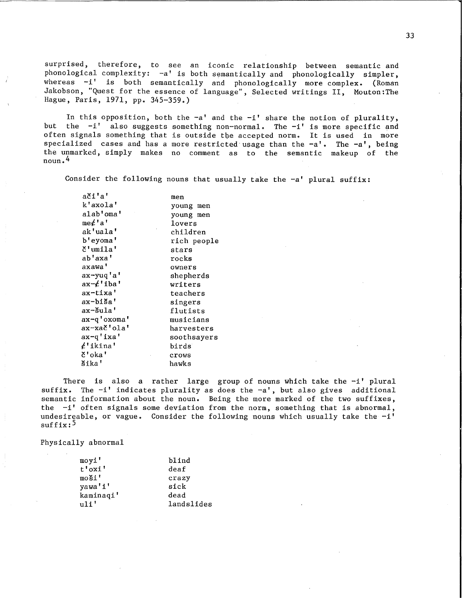surprised, therefore, to see an iconic relationship between semantic and phonological complexity: -a' is both semantically and phonologically simpler, whereas -i' is both semantically and phonologically more complex. (Roman Jakobson, "Quest for the essence of language", Selected writings II, Mouton:The Hague, Paris, 1971, pp. 345-359.)

In this opposition, both the  $-a'$  and the  $-i'$  share the notion of plurality, but the  $-i$  also suggests something non-normal. The  $-i$  is more specific and often signals something that is outside the accepted norm. It is used in more specialized cases and has a more restricted usage than the  $-a'$ . The  $-a'$ , being the unmarked, simply makes no comment as to the semantic makeup of the noun.4

Consider the following nouns that usually take the  $-a'$  plural suffix:

| ači'a'      | men         |
|-------------|-------------|
| k'axola'    | young men   |
| alab'oma'   | young men   |
| me¢'a'      | lovers      |
| ak'uala'    | children    |
| b'eyoma'    | rich people |
| č'umila'    | stars       |
| ab'axa'     | rocks       |
| axawa'      | owners      |
| ax-yuq'a'   | shepherds   |
| ax-¢'iba'   | writers     |
| ax-tixa'    | teachers    |
| ax-biša'    | singers     |
| ax-šula'    | flutists    |
| ax-q'oxoma' | musicians   |
| ax-xač'ola' | harvesters  |
| ax-q'ixa'   | soothsayers |
| ¢'ikina'    | birds       |
| č'oka'      | crows       |
| šika'       | hawks       |

There is also a rather large group of nouns which take the  $-i'$  plural suffix. The -i' indicates plurality as does the -a', but also gives additional semantic information about the noun. Being the more marked of the two suffixes, the -i' often signals some deviation from the norm, something that is abnormal, undesireable, or vague. Consider the following nouns which usually take the  $-i'$  $\text{suffix:}^5$ 

Physically abnormal

| moyi'     | blind      |
|-----------|------------|
| t'oxi'    | deaf       |
| moši'     | crazy      |
| yawa'i'   | sick       |
| kaminaqi' | dead       |
| n11'      | landslides |

33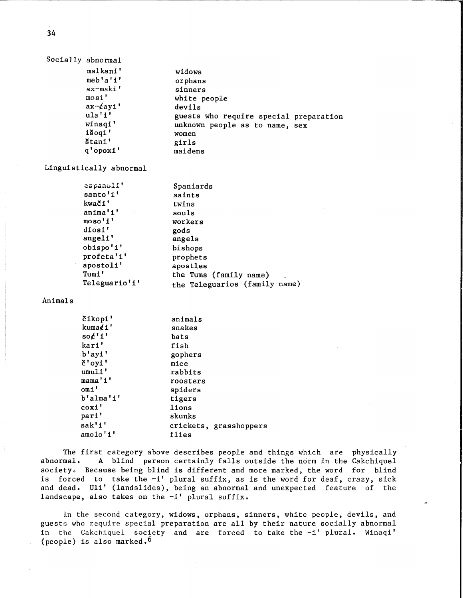|  | Socially abnormal  |                                        |
|--|--------------------|----------------------------------------|
|  | malkani'           | widows                                 |
|  | $meb$ 'a' $1$ '    | orphans                                |
|  | ax-maki'           | sinners                                |
|  | most'              | white people                           |
|  | $ax$ - $\ell$ ayi' | devils                                 |
|  | ula'i'             | guests who require special preparation |
|  | winaqi'            | unknown people as to name, sex         |
|  | išogi'             | women                                  |
|  | štani'             | girls                                  |
|  | q'opoxi'           | maidens                                |

Linguistically abnormal

| espanoli'<br>santo'i'<br>kwači'<br>anima'i' | Spaniards<br>saints<br>twins<br>souls |
|---------------------------------------------|---------------------------------------|
| moso'i'                                     | workers                               |
| diosi'                                      | gods                                  |
| angeli'                                     | angels                                |
| obispo'i'                                   | bishops                               |
| profeta'i'                                  | prophets                              |
| apostoli'                                   | apostles                              |
| Tumi'                                       | the Tums (family name)                |
| Teleguario'i'                               | the Teleguarios (family name)         |

Animals

| čikopi'                   | animals                |
|---------------------------|------------------------|
| kuma $\not\!$ i'          | snakes                 |
| $\operatorname{so}/1$ '1' | bats                   |
| kari'                     | fish                   |
| $b'$ ayi'                 | gophers                |
| $\delta$ 'oyi'            | mice                   |
| umuli'                    | rabbits                |
| mama'i'                   | roosters               |
| omi'                      | spiders                |
| b'alma'i'                 | tigers                 |
| coxi'                     | lions                  |
| pari'                     | skunks                 |
| sak'i'                    | crickets, grasshoppers |
| amolo'i'                  | flies                  |
|                           |                        |

The first category above describes people and things which are physically abnormal. A blind person certainly falls outside the norm in the Cakchiquel A blind person certainly falls outside the norm in the Cakchiquel society. Because being blind is different and more marked, the word for blind is forced to take the -i' plural suffix, as is the word for deaf, crazy, sick and dead. Uli' (landslides), being an abnormal and unexpected feature of the landscape, also takes on the -i' plural suffix.

In the second category, widows, orphans, sinners, white people, devils, and guests who require special preparation are all by their nature socially abnormal in the Cakchiquel society and are forced to take the -i' plural. Winaqi' (people) is also marked.<sup>6</sup>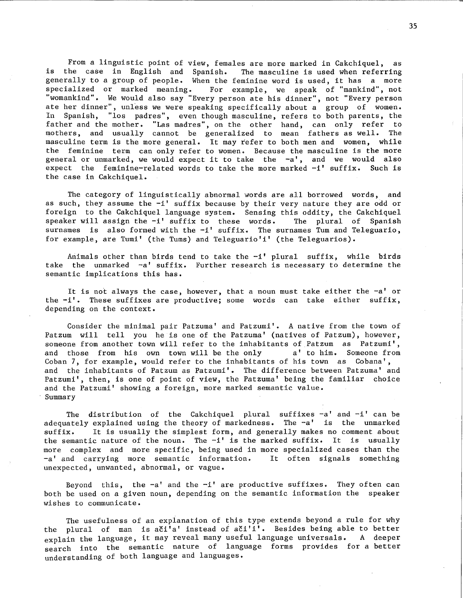From a linguistic point of view, females are more marked in Cakchiquel, as is the case in English and Spanish. The masculine is used when referring generally to a group of people. When the feminine word is used, it has a more<br>specialized or marked meaning. For example, we speak of "mankind", not For example, we speak of "mankind", not "womankind". We would also say "Every person ate his dinner", not "Every person ate her dinner", unless we were speaking specifically about a group of women. In Spanish, "los padres", even though masculine, refers to both parents, the father and the mother. "Las madres'', on the other hand, can only refer to mothers, and usually cannot be generalized to mean fathers as well. The masculine term is the more general. It may refer to both men and women, while the feminine term can only refer to women. Because the masculine is the more general or unmarked, we would expect it to take the -a', and we would also expect the feminine-related words to take the more marked -i' suffix. Such is the case in Cakchiquel.

The category of linguistically abnormal words are all borrowed words, and as such, they assume the -i' suffix because by their very nature they are odd or foreign to the Cakchiquel language system. Sensing this oddity, the Cakchiquel speaker will assign the -i' suffix to these words. The plural of Spanish surnames is also formed with the  $-i$ ' suffix. The surnames Tum and Teleguario, for example, are Tumi' (the Tums) and Teleguario'i' (the Teleguarios).

Animals other than birds tend to take the -i' plural suffix, while birds take the unmarked  $-a'$  suffix. Further research is necessary to determine the semantic implications this has.

It is not always the case, however, that a noun must take either the -a' or the -i'. These suffixes are productive; some words can take either suffix, depending on the context.

Consider the minimal pair Patzuma' and Patzumi'. A native from the town of Patzum will tell you he is one of the Patzuma' (natives of Patzum), however, someone from another town will refer to the inhabitants of Patzum as Patzumi', and those from his own town will be the only a' to him. Someone from Cohan 7, for example, would refer to the inhabitants of his town as Cobana', and the inhabitants of Patzum as Patzumi'. The difference between Patzuma' and Patzumi', then, is one of point of view, the Patzuma' being the familiar choice and the Patzumi' showing a foreign, more marked semantic value. Summary

The distribution of the Cakchiquel plural suffixes  $-a'$  and  $-i'$  can be adequately explained using the theory of markedness. The -a' is the unmarked suffix. It is usually the simplest form, and generally makes no comment about the semantic nature of the noun. The  $-i'$  is the marked suffix. It is usually more complex and more specific, being used in more specialized cases than the -a' and carrying more semantic information. It often signals something unexpected, unwanted, abnormal, or vague.

Beyond this, the  $-a'$  and the  $-i'$  are productive suffixes. They often can both be used on a given noun, depending on the semantic information the speaker wishes to communicate.

The usefulness of an explanation of this type extends beyond a rule for why the plural of man is ači'a' instead of ači'i'. Besides being able to better explain the language, it may reveal many useful language universals. A deeper search into the semantic nature of language forms provides for a better understanding of both language and languages.